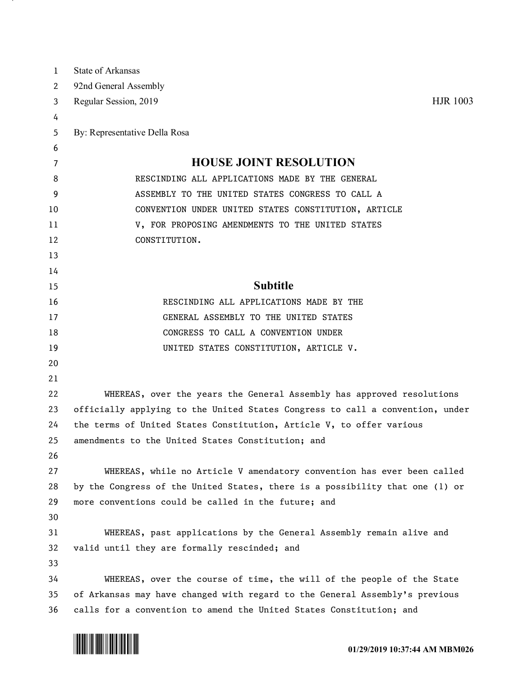| 1        | <b>State of Arkansas</b>                                                      |
|----------|-------------------------------------------------------------------------------|
| 2        | 92nd General Assembly                                                         |
| 3        | <b>HJR 1003</b><br>Regular Session, 2019                                      |
| 4        |                                                                               |
| 5        | By: Representative Della Rosa                                                 |
| 6        |                                                                               |
| 7        | <b>HOUSE JOINT RESOLUTION</b>                                                 |
| 8        | RESCINDING ALL APPLICATIONS MADE BY THE GENERAL                               |
| 9        | ASSEMBLY TO THE UNITED STATES CONGRESS TO CALL A                              |
| 10       | CONVENTION UNDER UNITED STATES CONSTITUTION, ARTICLE                          |
| 11       | V, FOR PROPOSING AMENDMENTS TO THE UNITED STATES                              |
| 12       | CONSTITUTION.                                                                 |
| 13       |                                                                               |
| 14       |                                                                               |
| 15       | <b>Subtitle</b>                                                               |
| 16       | RESCINDING ALL APPLICATIONS MADE BY THE                                       |
| 17       | GENERAL ASSEMBLY TO THE UNITED STATES                                         |
| 18<br>19 | CONGRESS TO CALL A CONVENTION UNDER                                           |
| 20       | UNITED STATES CONSTITUTION, ARTICLE V.                                        |
| 21       |                                                                               |
| 22       | WHEREAS, over the years the General Assembly has approved resolutions         |
| 23       | officially applying to the United States Congress to call a convention, under |
| 24       | the terms of United States Constitution, Article V, to offer various          |
| 25       | amendments to the United States Constitution; and                             |
| 26       |                                                                               |
| 27       | WHEREAS, while no Article V amendatory convention has ever been called        |
| 28       | by the Congress of the United States, there is a possibility that one (1) or  |
| 29       | more conventions could be called in the future; and                           |
| 30       |                                                                               |
| 31       | WHEREAS, past applications by the General Assembly remain alive and           |
| 32       | valid until they are formally rescinded; and                                  |
| 33       |                                                                               |
| 34       | WHEREAS, over the course of time, the will of the people of the State         |
| 35       | of Arkansas may have changed with regard to the General Assembly's previous   |
| 36       | calls for a convention to amend the United States Constitution; and           |



and the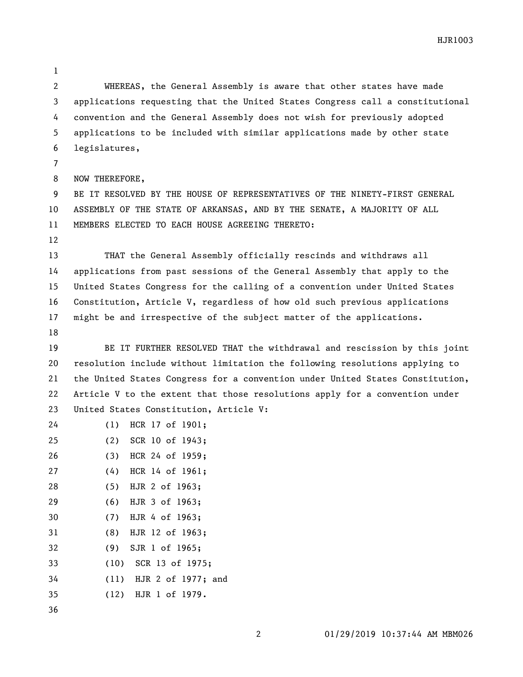HJR1003

 WHEREAS, the General Assembly is aware that other states have made applications requesting that the United States Congress call a constitutional convention and the General Assembly does not wish for previously adopted applications to be included with similar applications made by other state legislatures, 

NOW THEREFORE,

 BE IT RESOLVED BY THE HOUSE OF REPRESENTATIVES OF THE NINETY-FIRST GENERAL ASSEMBLY OF THE STATE OF ARKANSAS, AND BY THE SENATE, A MAJORITY OF ALL MEMBERS ELECTED TO EACH HOUSE AGREEING THERETO:

 THAT the General Assembly officially rescinds and withdraws all applications from past sessions of the General Assembly that apply to the United States Congress for the calling of a convention under United States Constitution, Article V, regardless of how old such previous applications might be and irrespective of the subject matter of the applications.

 BE IT FURTHER RESOLVED THAT the withdrawal and rescission by this joint resolution include without limitation the following resolutions applying to the United States Congress for a convention under United States Constitution, Article V to the extent that those resolutions apply for a convention under United States Constitution, Article V:

 (1) HCR 17 of 1901; (2) SCR 10 of 1943; (3) HCR 24 of 1959; (4) HCR 14 of 1961; (5) HJR 2 of 1963; (6) HJR 3 of 1963; (7) HJR 4 of 1963; (8) HJR 12 of 1963; (9) SJR 1 of 1965; (10) SCR 13 of 1975; (11) HJR 2 of 1977; and (12) HJR 1 of 1979.